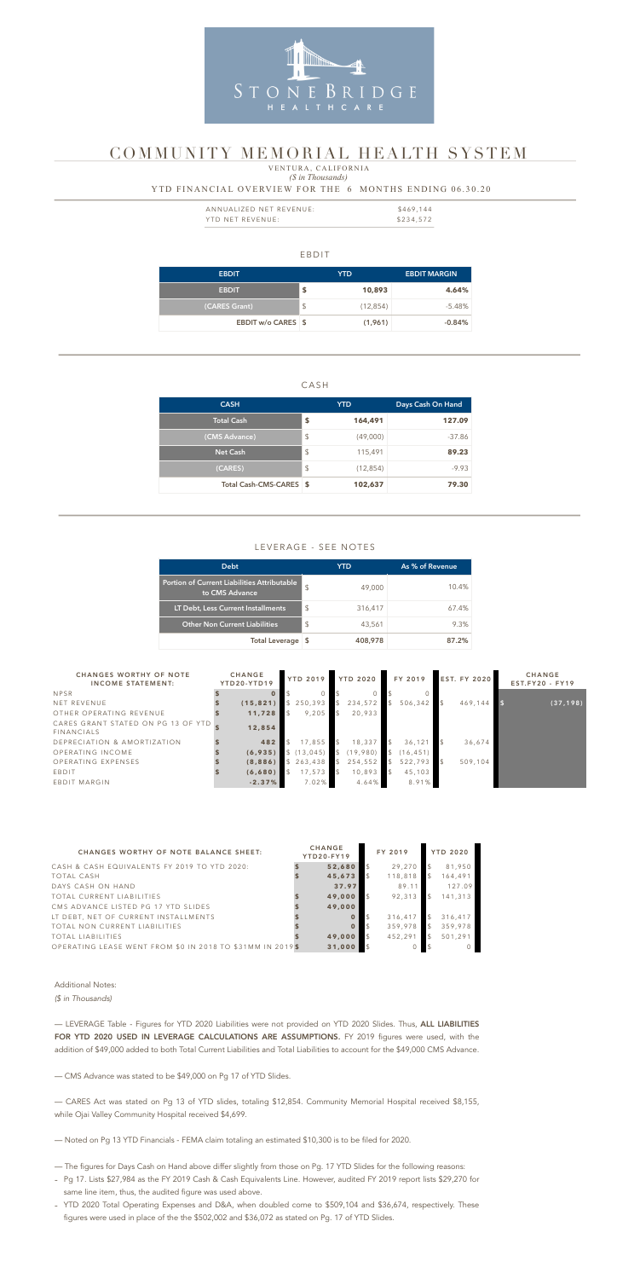### EBDIT

| <b>EBDIT</b>       |               | YTD.      | <b>EBDIT MARGIN</b> |
|--------------------|---------------|-----------|---------------------|
| <b>EBDIT</b>       | \$            | 10,893    | 4.64%               |
| (CARES Grant)      | $\frac{1}{2}$ | (12, 854) | $-5.48%$            |
| EBDIT w/o CARES \$ |               | (1,961)   | $-0.84%$            |

### CASH

| <b>CASH</b>             |                         | <b>YTD</b> | Days Cash On Hand |
|-------------------------|-------------------------|------------|-------------------|
| <b>Total Cash</b>       | \$                      | 164,491    | 127.09            |
| (CMS Advance)           | $\sqrt[6]{\frac{1}{2}}$ | (49,000)   | -37.86            |
| <b>Net Cash</b>         | $\sqrt[6]{\frac{1}{2}}$ | 115,491    | 89.23             |
| (CARES)                 | $\sqrt[6]{\frac{1}{2}}$ | (12, 854)  | $-9.93$           |
| Total Cash-CMS-CARES \$ |                         | 102,637    | 79.30             |

| ANNUALIZED NET REVENUE: | \$469,144 |
|-------------------------|-----------|
| YTD NET REVENUE:        | \$234,572 |

# LEVERAGE - SEE NOTES

# *(\$ in Thousands)* YTD FINANCIAL OVERVIEW FOR THE 6 MONTHS ENDING 06.30.20 VENTURA, CALIFORNIA

| <b>Debt</b>                                                          |               | YTD     | As % of Revenue |
|----------------------------------------------------------------------|---------------|---------|-----------------|
| <b>Portion of Current Liabilities Attributable</b><br>to CMS Advance | $\mathcal{L}$ | 49,000  | 10.4%           |
| LT Debt, Less Current Installments                                   | $\mathcal{L}$ | 316,417 | 67.4%           |
| <b>Other Non Current Liabilities</b>                                 | $\mathcal{L}$ | 43,561  | 9.3%            |
| <b>Total Leverage</b>                                                |               | 408,978 | 87 2%           |



# COMMUNITY MEMORIAL HEALTH SYSTEM

| <b>CHANGES WORTHY OF NOTE</b><br><b>INCOME STATEMENT:</b> | <b>CHANGE</b><br>YTD20-YTD19 | <b>YTD 2019</b> |               | <b>YTD 2020</b> | FY 2019   | <b>EST. FY 2020</b> | <b>CHANGE</b><br>$EST.FY20 - FY19$ |
|-----------------------------------------------------------|------------------------------|-----------------|---------------|-----------------|-----------|---------------------|------------------------------------|
| <b>NPSR</b>                                               |                              |                 |               |                 |           |                     |                                    |
| NET REVENUE                                               | (15, 821)                    | 250,393         |               | 234,572         | 506,342   | 469.144             | (37, 198)                          |
| OTHER OPERATING REVENUE                                   | 11,728                       | 9,205           | $\mathcal{L}$ | 20,933          |           |                     |                                    |
| CARES GRANT STATED ON PG 13 OF YTD<br>FINANCIALS          | 12,854                       |                 |               |                 |           |                     |                                    |
| DEPRECIATION & AMORTIZATION                               | 482                          | 17,855          | $\mathcal{L}$ | 18,337          | 36,121    | 36,674              |                                    |
| OPERATING INCOME                                          | (6, 935)                     | (13, 045)       |               | (19,980)        | (16, 451) |                     |                                    |
| OPERATING EXPENSES                                        | (8,886)                      | \$263,438       |               | 254,552         | 522,793   | 509,104             |                                    |
| EBDIT                                                     | (6,680)                      | 17,573          |               | 10,893          | 45,103    |                     |                                    |
| EBDIT MARGIN                                              | $-2.37%$                     | 7.02%           |               | 4.64%           | 8.91%     |                     |                                    |

| <b>CHANGES WORTHY OF NOTE BALANCE SHEET:</b>              | <b>CHANGE</b><br><b>YTD20-FY19</b> | FY 2019 |                | <b>YTD 2020</b> |
|-----------------------------------------------------------|------------------------------------|---------|----------------|-----------------|
| CASH & CASH EQUIVALENTS FY 2019 TO YTD 2020:              | 52,680                             | 29,270  | <sup>\$</sup>  | 81,950          |
| TOTAL CASH                                                | 45,673                             | 118,818 | $\mathfrak{L}$ | 164,491         |
| DAYS CASH ON HAND                                         | 37.97                              | 89.11   |                | 127.09          |
| TOTAL CURRENT LIABILITIES                                 | 49,000                             | 92,313  | $\mathfrak{L}$ | 141,313         |
| CMS ADVANCE LISTED PG 17 YTD SLIDES                       | 49,000                             |         |                |                 |
| LT DEBT, NET OF CURRENT INSTALLMENTS                      |                                    | 316,417 | $\mathcal{L}$  | 316,417         |
| TOTAL NON CURRENT LIABILITIES                             |                                    | 359,978 | $\sqrt{2}$     | 359,978         |
| TOTAL LIABILITIES                                         | 49,000                             | 452.291 | $\mathcal{L}$  | 501,291         |
| OPERATING LEASE WENT FROM \$0 IN 2018 TO \$31MM IN 2019\$ | 31,000                             |         |                |                 |

### Additional Notes:

#### *(\$ in Thousands)*

— LEVERAGE Table - Figures for YTD 2020 Liabilities were not provided on YTD 2020 Slides. Thus, ALL LIABILITIES FOR YTD 2020 USED IN LEVERAGE CALCULATIONS ARE ASSUMPTIONS. FY 2019 figures were used, with the addition of \$49,000 added to both Total Current Liabilities and Total Liabilities to account for the \$49,000 CMS Advance.

— CMS Advance was stated to be \$49,000 on Pg 17 of YTD Slides.

— CARES Act was stated on Pg 13 of YTD slides, totaling \$12,854. Community Memorial Hospital received \$8,155, while Ojai Valley Community Hospital received \$4,699.

— Noted on Pg 13 YTD Financials - FEMA claim totaling an estimated \$10,300 is to be filed for 2020.

- The figures for Days Cash on Hand above differ slightly from those on Pg. 17 YTD Slides for the following reasons:
- Pg 17. Lists \$27,984 as the FY 2019 Cash & Cash Equivalents Line. However, audited FY 2019 report lists \$29,270 for same line item, thus, the audited figure was used above.
- YTD 2020 Total Operating Expenses and D&A, when doubled come to \$509,104 and \$36,674, respectively. These figures were used in place of the the \$502,002 and \$36,072 as stated on Pg. 17 of YTD Slides.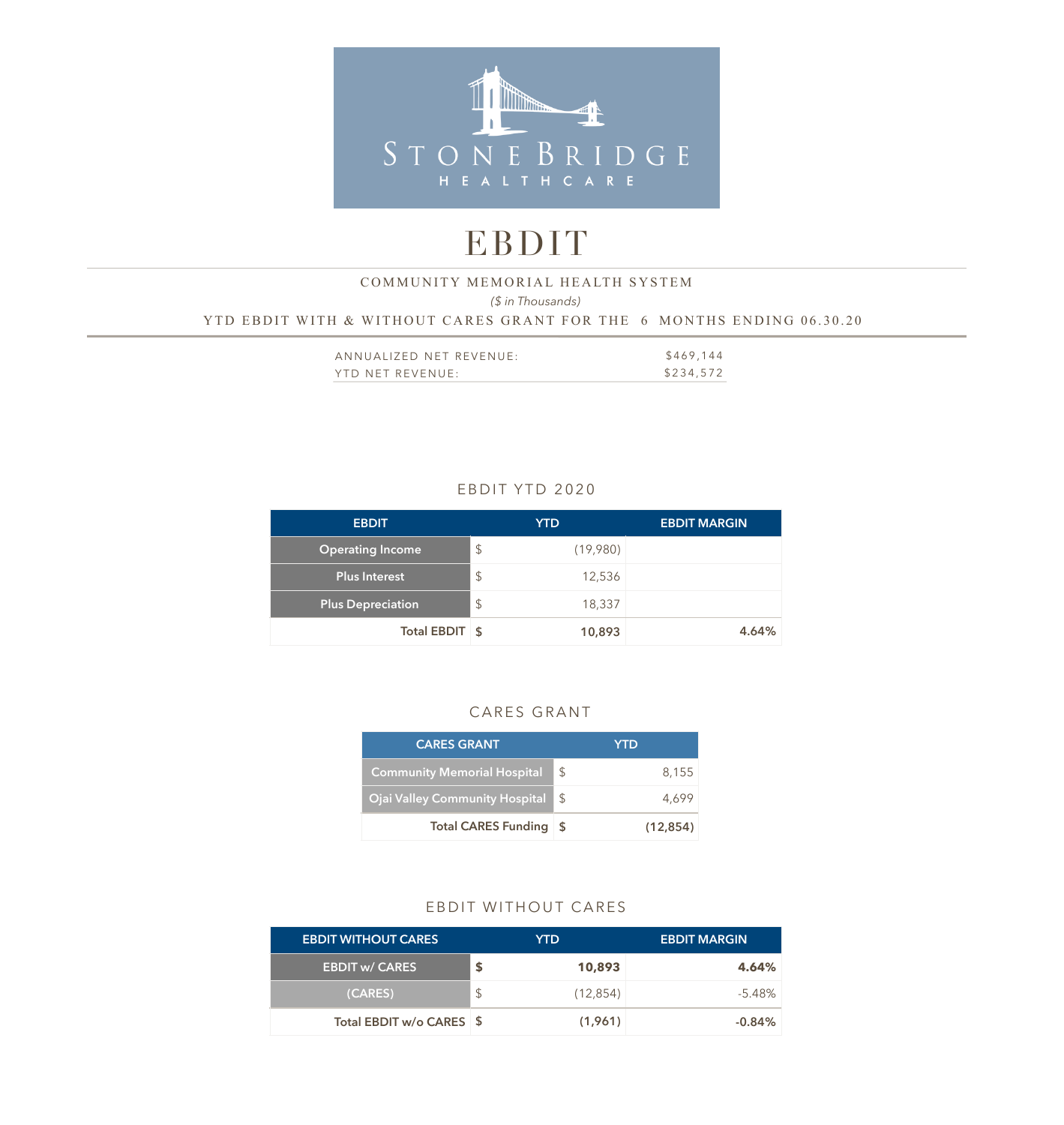

# EBDIT

# *(\$ in Thousands)*  YTD EBDIT WITH & WITHOUT CARES GRANT FOR THE 6 MONTHS ENDING 06.30.20 COMMUNITY MEMORIAL HEALTH SYSTEM

| ANNUALIZED NET REVENUE: | \$469,144 |
|-------------------------|-----------|
| YTD NET REVENUE:        | \$234,572 |

# EBDIT YTD 2020

| <b>EBDIT</b>             |               | <b>YTD</b> | <b>EBDIT MARGIN</b> |
|--------------------------|---------------|------------|---------------------|
| <b>Operating Income</b>  | $\frac{1}{2}$ | (19,980)   |                     |
| Plus Interest            | \$            | 12,536     |                     |
| <b>Plus Depreciation</b> | $\frac{1}{2}$ | 18,337     |                     |
| Total EBDIT \$           |               | 10,893     | 4.64%               |

### CARES GRANT

| <b>CARES GRANT</b>                    |    | YTD       |
|---------------------------------------|----|-----------|
| <b>Community Memorial Hospital</b>    | S  | 8,155     |
| <b>Ojai Valley Community Hospital</b> | -S | 4.699     |
| <b>Total CARES Funding</b>            | S  | (12, 854) |

## EBDIT WITHOUT CARES

| <b>EBDIT WITHOUT CARES</b> | YTD.      | <b>EBDIT MARGIN</b> |
|----------------------------|-----------|---------------------|
| <b>EBDIT w/ CARES</b>      | 10,893    | 4.64%               |
| (CARES)                    | (12, 854) | -5.48%              |
| Total EBDIT w/o CARES \$   | (1,961)   | $-0.84%$            |